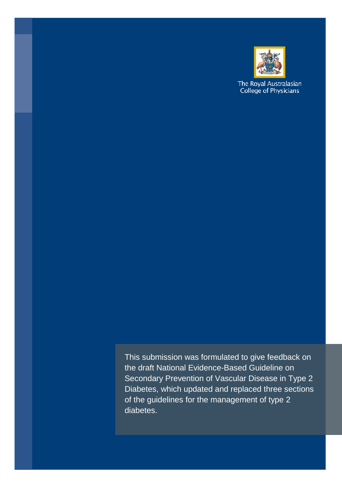

The Royal Australasian<br>College of Physicians

This submission was formulated to give feedback on the draft National Evidence-Based Guideline on Secondary Prevention of Vascular Disease in Type 2 Diabetes, which updated and replaced three sections of the guidelines for the management of type 2 diabetes.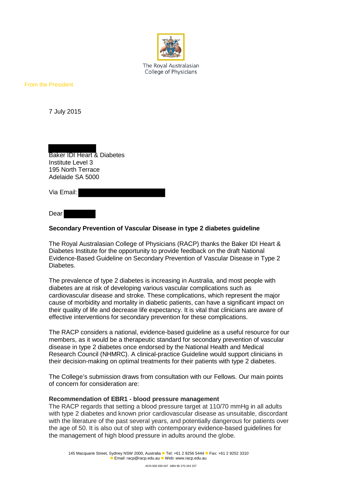

The Royal Australasian College of Physicians

From the President

7 July 2015

Baker IDI Heart & Diabetes Institute Level 3 195 North Terrace Adelaide SA 5000

Via Email:

Dear

## **Secondary Prevention of Vascular Disease in type 2 diabetes guideline**

The Royal Australasian College of Physicians (RACP) thanks the Baker IDI Heart & Diabetes Institute for the opportunity to provide feedback on the draft National Evidence-Based Guideline on Secondary Prevention of Vascular Disease in Type 2 Diabetes.

The prevalence of type 2 diabetes is increasing in Australia, and most people with diabetes are at risk of developing various vascular complications such as cardiovascular disease and stroke. These complications, which represent the major cause of morbidity and mortality in diabetic patients, can have a significant impact on their quality of life and decrease life expectancy. It is vital that clinicians are aware of effective interventions for secondary prevention for these complications.

The RACP considers a national, evidence-based guideline as a useful resource for our members, as it would be a therapeutic standard for secondary prevention of vascular disease in type 2 diabetes once endorsed by the National Health and Medical Research Council (NHMRC). A clinical-practice Guideline would support clinicians in their decision-making on optimal treatments for their patients with type 2 diabetes.

The College's submission draws from consultation with our Fellows. Our main points of concern for consideration are:

## **Recommendation of EBR1 - blood pressure management**

The RACP regards that setting a blood pressure target at 110/70 mmHg in all adults with type 2 diabetes and known prior cardiovascular disease as unsuitable, discordant with the literature of the past several years, and potentially dangerous for patients over the age of 50. It is also out of step with contemporary evidence-based guidelines for the management of high blood pressure in adults around the globe.